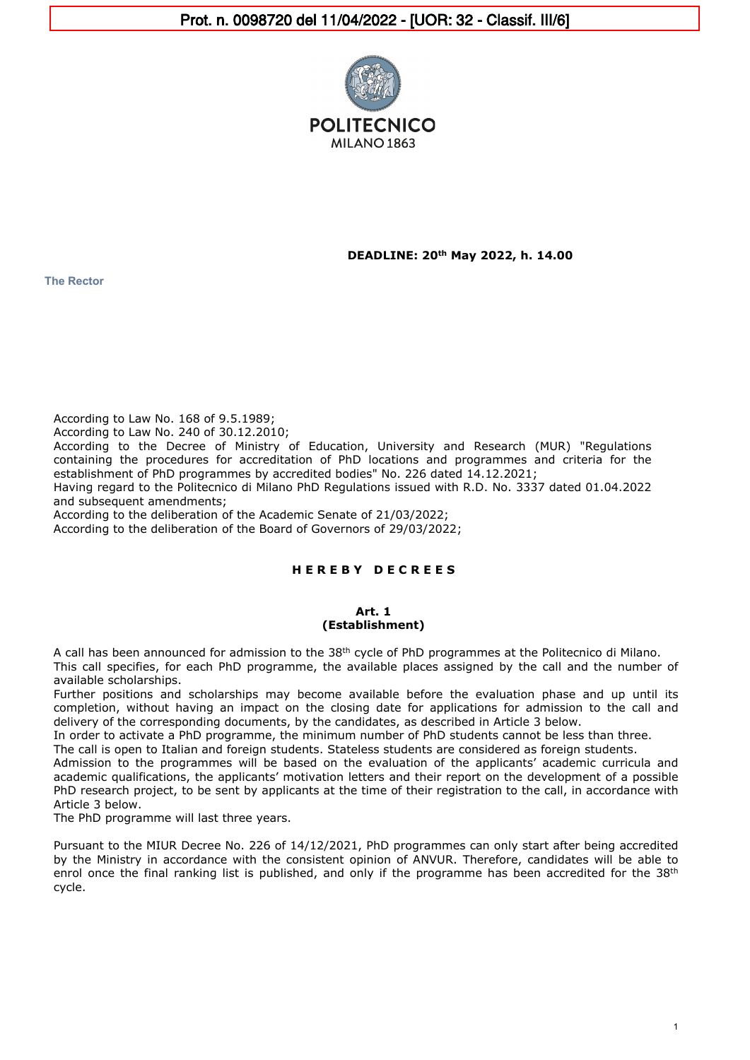

**DEADLINE: 20th May 2022, h. 14.00**

**The Rector**

According to Law No. 168 of 9.5.1989;

According to Law No. 240 of 30.12.2010;

According to the Decree of Ministry of Education, University and Research (MUR) "Regulations containing the procedures for accreditation of PhD locations and programmes and criteria for the establishment of PhD programmes by accredited bodies" No. 226 dated 14.12.2021;

Having regard to the Politecnico di Milano PhD Regulations issued with R.D. No. 3337 dated 01.04.2022 and subsequent amendments;

According to the deliberation of the Academic Senate of 21/03/2022;

According to the deliberation of the Board of Governors of 29/03/2022;

# **H E R E B Y D E C R E E S**

#### **Art. 1 (Establishment)**

A call has been announced for admission to the 38th cycle of PhD programmes at the Politecnico di Milano.

This call specifies, for each PhD programme, the available places assigned by the call and the number of available scholarships.

Further positions and scholarships may become available before the evaluation phase and up until its completion, without having an impact on the closing date for applications for admission to the call and delivery of the corresponding documents, by the candidates, as described in Article 3 below.

In order to activate a PhD programme, the minimum number of PhD students cannot be less than three.

The call is open to Italian and foreign students. Stateless students are considered as foreign students.

Admission to the programmes will be based on the evaluation of the applicants' academic curricula and academic qualifications, the applicants' motivation letters and their report on the development of a possible PhD research project, to be sent by applicants at the time of their registration to the call, in accordance with Article 3 below.

The PhD programme will last three years.

Pursuant to the MIUR Decree No. 226 of 14/12/2021, PhD programmes can only start after being accredited by the Ministry in accordance with the consistent opinion of ANVUR. Therefore, candidates will be able to enrol once the final ranking list is published, and only if the programme has been accredited for the 38<sup>th</sup> cycle.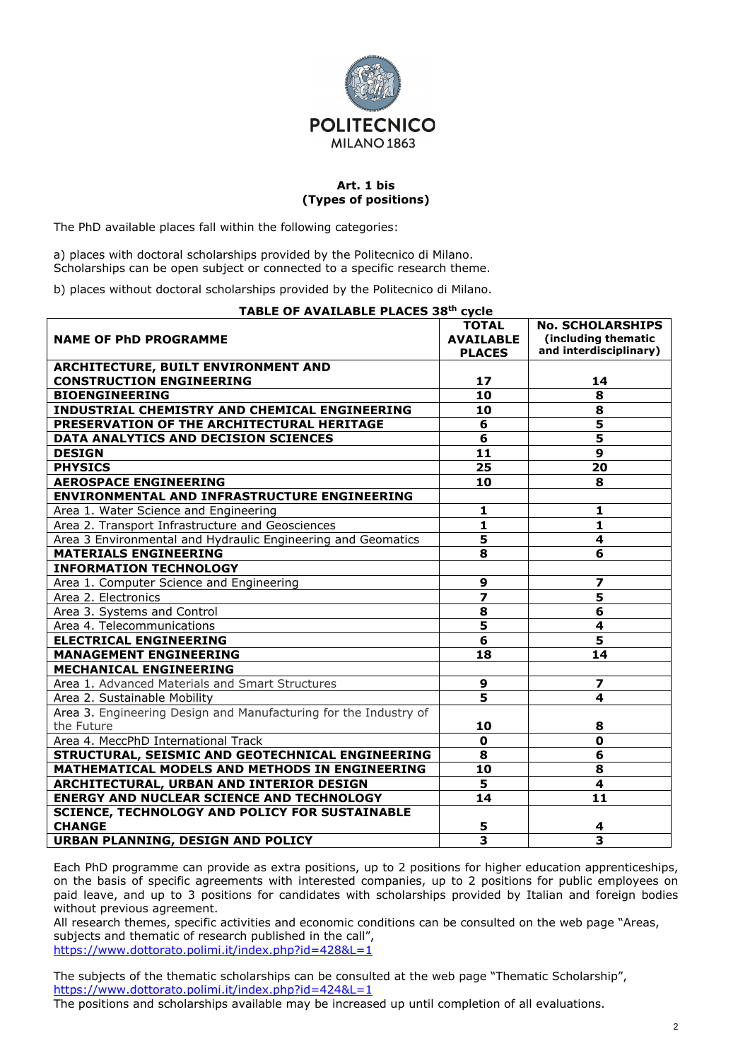

## **Art. 1 bis (Types of positions)**

The PhD available places fall within the following categories:

a) places with doctoral scholarships provided by the Politecnico di Milano. Scholarships can be open subject or connected to a specific research theme.

b) places without doctoral scholarships provided by the Politecnico di Milano.

| TABLE OF AVAILABLE PLACES 38th cycle                             |                         |                         |  |
|------------------------------------------------------------------|-------------------------|-------------------------|--|
|                                                                  | <b>TOTAL</b>            | <b>No. SCHOLARSHIPS</b> |  |
| <b>NAME OF PHD PROGRAMME</b>                                     | <b>AVAILABLE</b>        | (including thematic     |  |
|                                                                  | <b>PLACES</b>           | and interdisciplinary)  |  |
| ARCHITECTURE, BUILT ENVIRONMENT AND                              |                         |                         |  |
| <b>CONSTRUCTION ENGINEERING</b>                                  | 17                      | 14                      |  |
| <b>BIOENGINEERING</b>                                            | $\overline{10}$         | 8                       |  |
| <b>INDUSTRIAL CHEMISTRY AND CHEMICAL ENGINEERING</b>             | 10                      | 8                       |  |
| PRESERVATION OF THE ARCHITECTURAL HERITAGE                       | 6                       | 5                       |  |
| DATA ANALYTICS AND DECISION SCIENCES                             | 6                       | $\overline{\mathbf{5}}$ |  |
| <b>DESIGN</b>                                                    | 11                      | $\mathbf{9}$            |  |
| <b>PHYSICS</b>                                                   | 25                      | 20                      |  |
| <b>AEROSPACE ENGINEERING</b>                                     | 10                      | 8                       |  |
| <b>ENVIRONMENTAL AND INFRASTRUCTURE ENGINEERING</b>              |                         |                         |  |
| Area 1. Water Science and Engineering                            | 1                       | 1                       |  |
| Area 2. Transport Infrastructure and Geosciences                 | 1                       | $\mathbf{1}$            |  |
| Area 3 Environmental and Hydraulic Engineering and Geomatics     | 5                       | 4                       |  |
| <b>MATERIALS ENGINEERING</b>                                     | 8                       | 6                       |  |
| <b>INFORMATION TECHNOLOGY</b>                                    |                         |                         |  |
| Area 1. Computer Science and Engineering                         | 9                       | $\overline{\mathbf{z}}$ |  |
| Area 2. Electronics                                              | 7                       | 5                       |  |
| Area 3. Systems and Control                                      | 8                       | 6                       |  |
| Area 4. Telecommunications                                       | $\overline{\mathbf{5}}$ | 4                       |  |
| <b>ELECTRICAL ENGINEERING</b>                                    | $\overline{\mathbf{6}}$ | $\overline{\mathbf{5}}$ |  |
| <b>MANAGEMENT ENGINEERING</b>                                    | 18                      | 14                      |  |
| <b>MECHANICAL ENGINEERING</b>                                    |                         |                         |  |
| Area 1. Advanced Materials and Smart Structures                  | 9                       | 7                       |  |
| Area 2. Sustainable Mobility                                     | $\overline{\mathbf{5}}$ | 4                       |  |
| Area 3. Engineering Design and Manufacturing for the Industry of |                         |                         |  |
| the Future                                                       | 10                      | 8                       |  |
| Area 4. MeccPhD International Track                              | $\mathbf 0$             | $\mathbf 0$             |  |
| STRUCTURAL, SEISMIC AND GEOTECHNICAL ENGINEERING                 | 8                       | 6                       |  |
| MATHEMATICAL MODELS AND METHODS IN ENGINEERING                   | 10                      | 8                       |  |
| ARCHITECTURAL, URBAN AND INTERIOR DESIGN                         | 5                       | 4                       |  |
| <b>ENERGY AND NUCLEAR SCIENCE AND TECHNOLOGY</b>                 | 14                      | 11                      |  |
| <b>SCIENCE, TECHNOLOGY AND POLICY FOR SUSTAINABLE</b>            |                         |                         |  |
| <b>CHANGE</b>                                                    | 5                       | 4                       |  |
| URBAN PLANNING, DESIGN AND POLICY                                | $\overline{\mathbf{3}}$ | $\overline{\mathbf{3}}$ |  |

Each PhD programme can provide as extra positions, up to 2 positions for higher education apprenticeships, on the basis of specific agreements with interested companies, up to 2 positions for public employees on paid leave, and up to 3 positions for candidates with scholarships provided by Italian and foreign bodies without previous agreement.

All research themes, specific activities and economic conditions can be consulted on the web page "Areas, subjects and thematic of research published in the call", <https://www.dottorato.polimi.it/index.php?id=428&L=1>

The subjects of the thematic scholarships can be consulted at the web page "Thematic Scholarship", <https://www.dottorato.polimi.it/index.php?id=424&L=1>

The positions and scholarships available may be increased up until completion of all evaluations.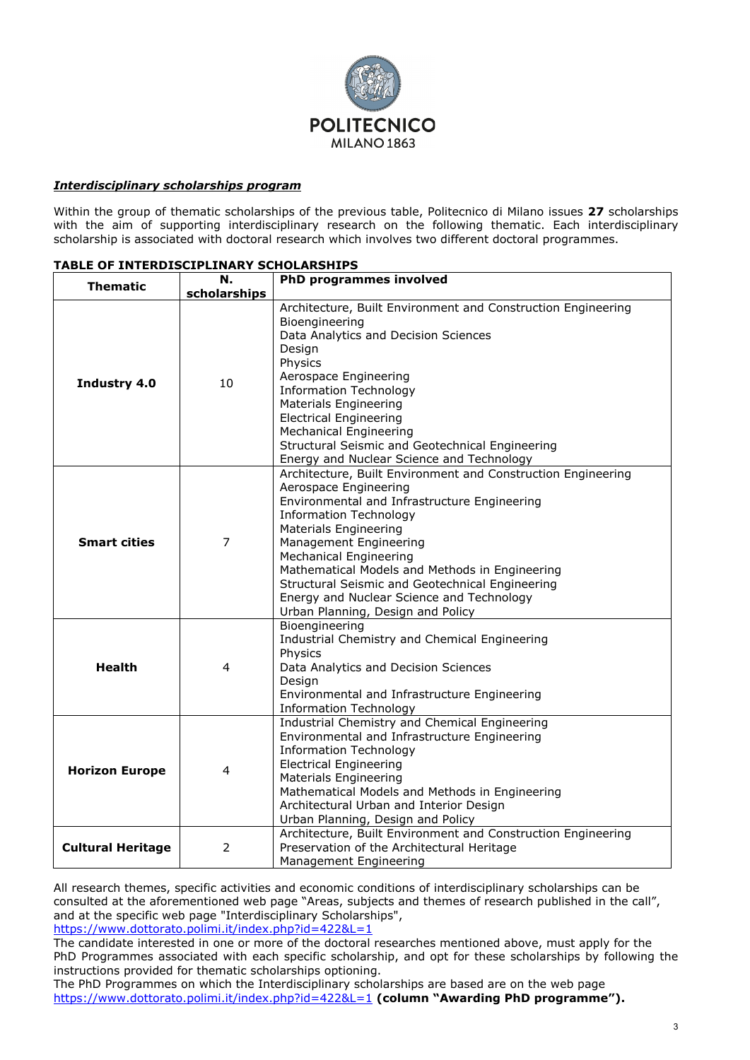

## *Interdisciplinary scholarships program*

Within the group of thematic scholarships of the previous table, Politecnico di Milano issues **27** scholarships with the aim of supporting interdisciplinary research on the following thematic. Each interdisciplinary scholarship is associated with doctoral research which involves two different doctoral programmes.

| <b>Thematic</b>          | N.             | <b>PhD programmes involved</b>                                                                                                                                                                                                                                                                                                                                                                                                                           |  |
|--------------------------|----------------|----------------------------------------------------------------------------------------------------------------------------------------------------------------------------------------------------------------------------------------------------------------------------------------------------------------------------------------------------------------------------------------------------------------------------------------------------------|--|
|                          | scholarships   |                                                                                                                                                                                                                                                                                                                                                                                                                                                          |  |
| Industry 4.0             | 10             | Architecture, Built Environment and Construction Engineering<br>Bioengineering<br>Data Analytics and Decision Sciences<br>Design<br>Physics<br>Aerospace Engineering<br><b>Information Technology</b><br><b>Materials Engineering</b><br><b>Electrical Engineering</b><br><b>Mechanical Engineering</b><br>Structural Seismic and Geotechnical Engineering<br>Energy and Nuclear Science and Technology                                                  |  |
| <b>Smart cities</b>      | $\overline{7}$ | Architecture, Built Environment and Construction Engineering<br>Aerospace Engineering<br>Environmental and Infrastructure Engineering<br><b>Information Technology</b><br><b>Materials Engineering</b><br>Management Engineering<br><b>Mechanical Engineering</b><br>Mathematical Models and Methods in Engineering<br>Structural Seismic and Geotechnical Engineering<br>Energy and Nuclear Science and Technology<br>Urban Planning, Design and Policy |  |
| <b>Health</b>            | 4              | Bioengineering<br>Industrial Chemistry and Chemical Engineering<br>Physics<br>Data Analytics and Decision Sciences<br>Design<br>Environmental and Infrastructure Engineering<br><b>Information Technology</b>                                                                                                                                                                                                                                            |  |
| <b>Horizon Europe</b>    | 4              | Industrial Chemistry and Chemical Engineering<br>Environmental and Infrastructure Engineering<br><b>Information Technology</b><br><b>Electrical Engineering</b><br><b>Materials Engineering</b><br>Mathematical Models and Methods in Engineering<br>Architectural Urban and Interior Design<br>Urban Planning, Design and Policy                                                                                                                        |  |
| <b>Cultural Heritage</b> | 2              | Architecture, Built Environment and Construction Engineering<br>Preservation of the Architectural Heritage<br>Management Engineering                                                                                                                                                                                                                                                                                                                     |  |

### **TABLE OF INTERDISCIPLINARY SCHOLARSHIPS**

All research themes, specific activities and economic conditions of interdisciplinary scholarships can be consulted at the aforementioned web page "Areas, subjects and themes of research published in the call", and at the specific web page "Interdisciplinary Scholarships",

<https://www.dottorato.polimi.it/index.php?id=422&L=1>

The candidate interested in one or more of the doctoral researches mentioned above, must apply for the PhD Programmes associated with each specific scholarship, and opt for these scholarships by following the instructions provided for thematic scholarships optioning.

The PhD Programmes on which the Interdisciplinary scholarships are based are on the web page <https://www.dottorato.polimi.it/index.php?id=422&L=1> **(column "Awarding PhD programme").**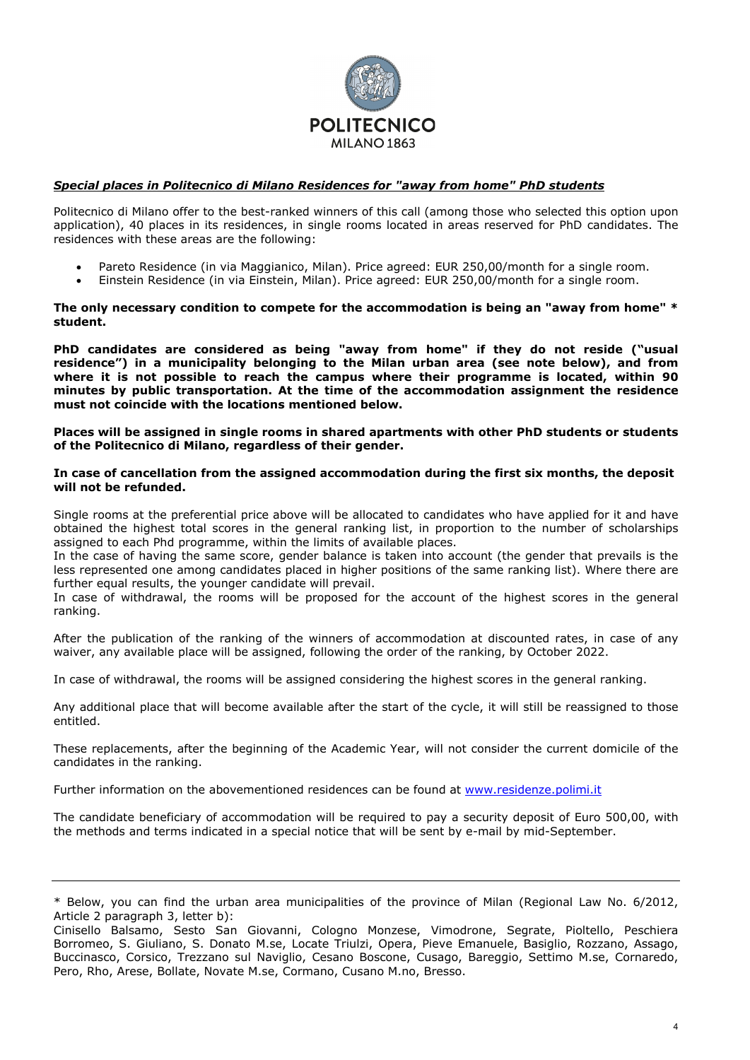

## *Special places in Politecnico di Milano Residences for "away from home" PhD students*

Politecnico di Milano offer to the best-ranked winners of this call (among those who selected this option upon application), 40 places in its residences, in single rooms located in areas reserved for PhD candidates. The residences with these areas are the following:

- Pareto Residence (in via Maggianico, Milan). Price agreed: EUR 250,00/month for a single room.
- Einstein Residence (in via Einstein, Milan). Price agreed: EUR 250,00/month for a single room.

### **The only necessary condition to compete for the accommodation is being an "away from home" \* student.**

**PhD candidates are considered as being "away from home" if they do not reside ("usual residence") in a municipality belonging to the Milan urban area (see note below), and from where it is not possible to reach the campus where their programme is located, within 90 minutes by public transportation. At the time of the accommodation assignment the residence must not coincide with the locations mentioned below.**

**Places will be assigned in single rooms in shared apartments with other PhD students or students of the Politecnico di Milano, regardless of their gender.**

#### **In case of cancellation from the assigned accommodation during the first six months, the deposit will not be refunded.**

Single rooms at the preferential price above will be allocated to candidates who have applied for it and have obtained the highest total scores in the general ranking list, in proportion to the number of scholarships assigned to each Phd programme, within the limits of available places.

In the case of having the same score, gender balance is taken into account (the gender that prevails is the less represented one among candidates placed in higher positions of the same ranking list). Where there are further equal results, the younger candidate will prevail.

In case of withdrawal, the rooms will be proposed for the account of the highest scores in the general ranking.

After the publication of the ranking of the winners of accommodation at discounted rates, in case of any waiver, any available place will be assigned, following the order of the ranking, by October 2022.

In case of withdrawal, the rooms will be assigned considering the highest scores in the general ranking.

Any additional place that will become available after the start of the cycle, it will still be reassigned to those entitled.

These replacements, after the beginning of the Academic Year, will not consider the current domicile of the candidates in the ranking.

Further information on the abovementioned residences can be found at [www.residenze.polimi.it](http://www.residenze.polimi.it/)

The candidate beneficiary of accommodation will be required to pay a security deposit of Euro 500,00, with the methods and terms indicated in a special notice that will be sent by e-mail by mid-September.

<sup>\*</sup> Below, you can find the urban area municipalities of the province of Milan (Regional Law No. 6/2012, Article 2 paragraph 3, letter b):

Cinisello Balsamo, Sesto San Giovanni, Cologno Monzese, Vimodrone, Segrate, Pioltello, Peschiera Borromeo, S. Giuliano, S. Donato M.se, Locate Triulzi, Opera, Pieve Emanuele, Basiglio, Rozzano, Assago, Buccinasco, Corsico, Trezzano sul Naviglio, Cesano Boscone, Cusago, Bareggio, Settimo M.se, Cornaredo, Pero, Rho, Arese, Bollate, Novate M.se, Cormano, Cusano M.no, Bresso.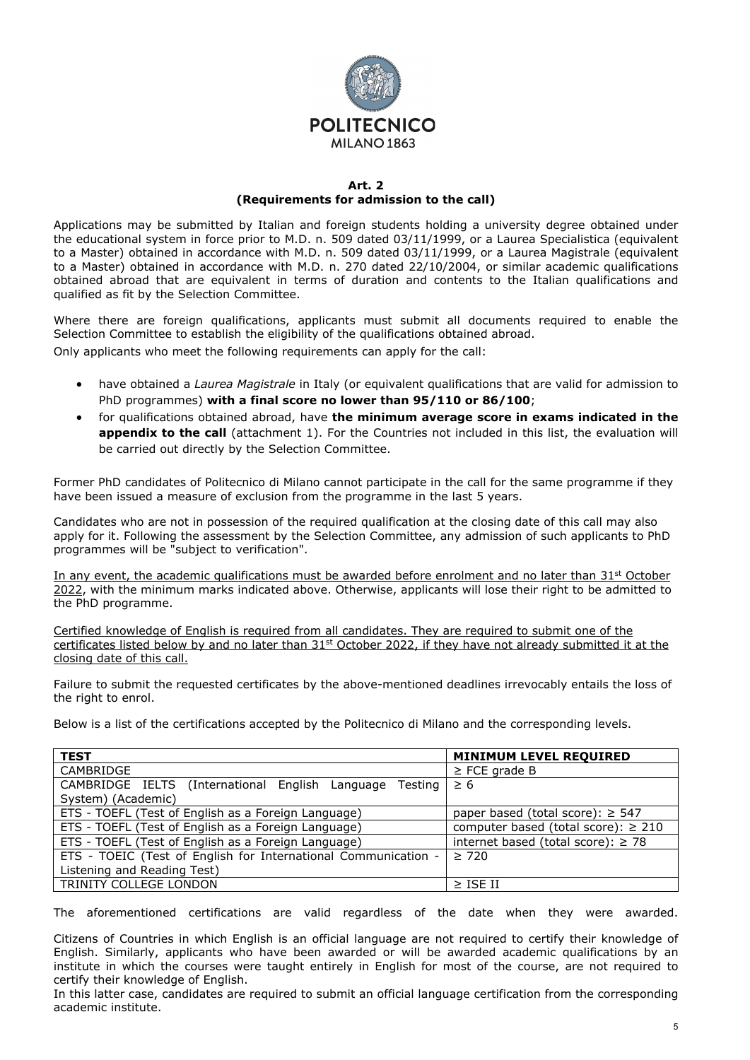

### **Art. 2 (Requirements for admission to the call)**

Applications may be submitted by Italian and foreign students holding a university degree obtained under the educational system in force prior to M.D. n. 509 dated 03/11/1999, or a Laurea Specialistica (equivalent to a Master) obtained in accordance with M.D. n. 509 dated 03/11/1999, or a Laurea Magistrale (equivalent to a Master) obtained in accordance with M.D. n. 270 dated 22/10/2004, or similar academic qualifications obtained abroad that are equivalent in terms of duration and contents to the Italian qualifications and qualified as fit by the Selection Committee.

Where there are foreign qualifications, applicants must submit all documents required to enable the Selection Committee to establish the eligibility of the qualifications obtained abroad.

Only applicants who meet the following requirements can apply for the call:

- have obtained a *Laurea Magistrale* in Italy (or equivalent qualifications that are valid for admission to PhD programmes) **with a final score no lower than 95/110 or 86/100**;
- for qualifications obtained abroad, have **the minimum average score in exams indicated in the**  appendix to the call (attachment 1). For the Countries not included in this list, the evaluation will be carried out directly by the Selection Committee.

Former PhD candidates of Politecnico di Milano cannot participate in the call for the same programme if they have been issued a measure of exclusion from the programme in the last 5 years.

Candidates who are not in possession of the required qualification at the closing date of this call may also apply for it. Following the assessment by the Selection Committee, any admission of such applicants to PhD programmes will be "subject to verification".

In any event, the academic qualifications must be awarded before enrolment and no later than 31<sup>st</sup> October 2022, with the minimum marks indicated above. Otherwise, applicants will lose their right to be admitted to the PhD programme.

Certified knowledge of English is required from all candidates. They are required to submit one of the certificates listed below by and no later than 31<sup>st</sup> October 2022, if they have not already submitted it at the closing date of this call.

Failure to submit the requested certificates by the above-mentioned deadlines irrevocably entails the loss of the right to enrol.

Below is a list of the certifications accepted by the Politecnico di Milano and the corresponding levels.

| <b>TEST</b>                                                    | <b>MINIMUM LEVEL REQUIRED</b>            |
|----------------------------------------------------------------|------------------------------------------|
| CAMBRIDGE                                                      | $\ge$ FCE grade B                        |
| CAMBRIDGE IELTS (International English Language<br>Testing I   | $\geq 6$                                 |
| System) (Academic)                                             |                                          |
| ETS - TOEFL (Test of English as a Foreign Language)            | paper based (total score): $\geq$ 547    |
| ETS - TOEFL (Test of English as a Foreign Language)            | computer based (total score): $\geq 210$ |
| ETS - TOEFL (Test of English as a Foreign Language)            | internet based (total score): $\geq$ 78  |
| ETS - TOEIC (Test of English for International Communication - | $\geq 720$                               |
| Listening and Reading Test)                                    |                                          |
| TRINITY COLLEGE LONDON                                         | $>$ ISF II                               |

The aforementioned certifications are valid regardless of the date when they were awarded.

Citizens of Countries in which English is an official language are not required to certify their knowledge of English. Similarly, applicants who have been awarded or will be awarded academic qualifications by an institute in which the courses were taught entirely in English for most of the course, are not required to certify their knowledge of English.

In this latter case, candidates are required to submit an official language certification from the corresponding academic institute.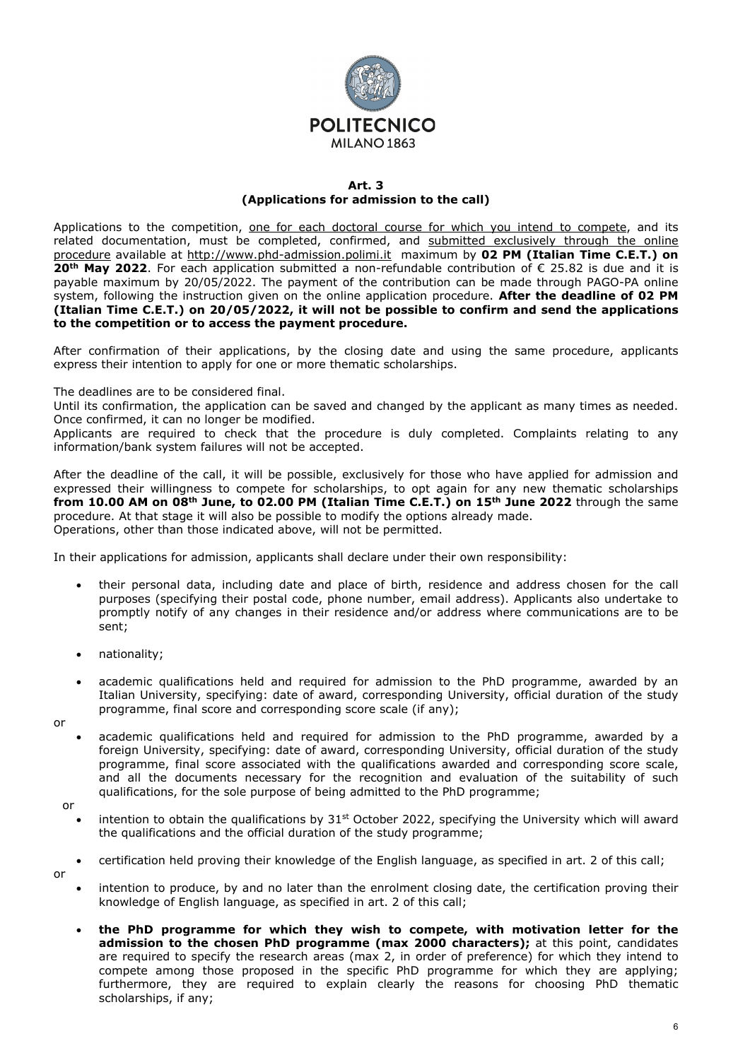

## **Art. 3 (Applications for admission to the call)**

Applications to the competition, one for each doctoral course for which you intend to compete, and its related documentation, must be completed, confirmed, and submitted exclusively through the online procedure available at [http://www.phd-admission.polimi.it](http://www.phd-admission.polimi.it/) maximum by **02 PM (Italian Time C.E.T.) on 20th May 2022**. For each application submitted a non-refundable contribution of € 25.82 is due and it is payable maximum by 20/05/2022. The payment of the contribution can be made through PAGO-PA online system, following the instruction given on the online application procedure. **After the deadline of 02 PM (Italian Time C.E.T.) on 20/05/2022, it will not be possible to confirm and send the applications to the competition or to access the payment procedure.**

After confirmation of their applications, by the closing date and using the same procedure, applicants express their intention to apply for one or more thematic scholarships.

The deadlines are to be considered final.

Until its confirmation, the application can be saved and changed by the applicant as many times as needed. Once confirmed, it can no longer be modified.

Applicants are required to check that the procedure is duly completed. Complaints relating to any information/bank system failures will not be accepted.

After the deadline of the call, it will be possible, exclusively for those who have applied for admission and expressed their willingness to compete for scholarships, to opt again for any new thematic scholarships **from 10.00 AM on 08th June, to 02.00 PM (Italian Time C.E.T.) on 15th June 2022** through the same procedure. At that stage it will also be possible to modify the options already made. Operations, other than those indicated above, will not be permitted.

In their applications for admission, applicants shall declare under their own responsibility:

- their personal data, including date and place of birth, residence and address chosen for the call purposes (specifying their postal code, phone number, email address). Applicants also undertake to promptly notify of any changes in their residence and/or address where communications are to be sent;
- nationality;
- academic qualifications held and required for admission to the PhD programme, awarded by an Italian University, specifying: date of award, corresponding University, official duration of the study programme, final score and corresponding score scale (if any);
- or
- academic qualifications held and required for admission to the PhD programme, awarded by a foreign University, specifying: date of award, corresponding University, official duration of the study programme, final score associated with the qualifications awarded and corresponding score scale, and all the documents necessary for the recognition and evaluation of the suitability of such qualifications, for the sole purpose of being admitted to the PhD programme;
- or
	- intention to obtain the qualifications by  $31<sup>st</sup>$  October 2022, specifying the University which will award the qualifications and the official duration of the study programme;
- or
- certification held proving their knowledge of the English language, as specified in art. 2 of this call;
- intention to produce, by and no later than the enrolment closing date, the certification proving their knowledge of English language, as specified in art. 2 of this call;
- **the PhD programme for which they wish to compete, with motivation letter for the admission to the chosen PhD programme (max 2000 characters);** at this point, candidates are required to specify the research areas (max 2, in order of preference) for which they intend to compete among those proposed in the specific PhD programme for which they are applying; furthermore, they are required to explain clearly the reasons for choosing PhD thematic scholarships, if any;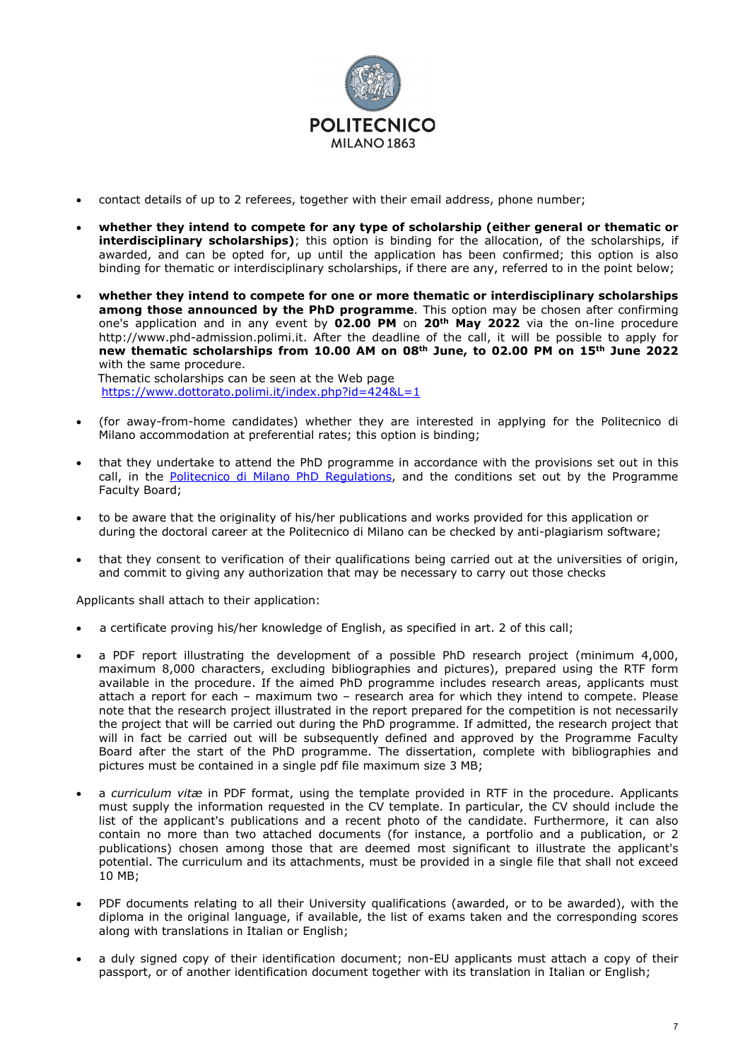

- contact details of up to 2 referees, together with their email address, phone number;
- **whether they intend to compete for any type of scholarship (either general or thematic or interdisciplinary scholarships)**; this option is binding for the allocation, of the scholarships, if awarded, and can be opted for, up until the application has been confirmed; this option is also binding for thematic or interdisciplinary scholarships, if there are any, referred to in the point below;
- **whether they intend to compete for one or more thematic or interdisciplinary scholarships among those announced by the PhD programme**. This option may be chosen after confirming one's application and in any event by **02.00 PM** on **20th May 2022** via the on-line procedure [http://www.phd-admission.polimi.it.](http://www.phd-admission.polimi.it/) After the deadline of the call, it will be possible to apply for **new thematic scholarships from 10.00 AM on 08th June, to 02.00 PM on 15th June 2022** with the same procedure. Thematic scholarships can be seen at the Web page

<https://www.dottorato.polimi.it/index.php?id=424&L=1>

- (for away-from-home candidates) whether they are interested in applying for the Politecnico di Milano accommodation at preferential rates; this option is binding;
- that they undertake to attend the PhD programme in accordance with the provisions set out in this call, in the [Politecnico di Milano PhD Regulations,](https://www.dottorato.polimi.it/fileadmin/user_upload/Regolamenti/Phd_Regulations_ENG.pdf) and the conditions set out by the Programme Faculty Board;
- to be aware that the originality of his/her publications and works provided for this application or during the doctoral career at the Politecnico di Milano can be checked by anti-plagiarism software;
- that they consent to verification of their qualifications being carried out at the universities of origin, and commit to giving any authorization that may be necessary to carry out those checks

Applicants shall attach to their application:

- a certificate proving his/her knowledge of English, as specified in art. 2 of this call;
- a PDF report illustrating the development of a possible PhD research project (minimum 4,000, maximum 8,000 characters, excluding bibliographies and pictures), prepared using the RTF form available in the procedure. If the aimed PhD programme includes research areas, applicants must attach a report for each – maximum two – research area for which they intend to compete. Please note that the research project illustrated in the report prepared for the competition is not necessarily the project that will be carried out during the PhD programme. If admitted, the research project that will in fact be carried out will be subsequently defined and approved by the Programme Faculty Board after the start of the PhD programme. The dissertation, complete with bibliographies and pictures must be contained in a single pdf file maximum size 3 MB;
- a *curriculum vitæ* in PDF format, using the template provided in RTF in the procedure. Applicants must supply the information requested in the CV template. In particular, the CV should include the list of the applicant's publications and a recent photo of the candidate. Furthermore, it can also contain no more than two attached documents (for instance, a portfolio and a publication, or 2 publications) chosen among those that are deemed most significant to illustrate the applicant's potential. The curriculum and its attachments, must be provided in a single file that shall not exceed 10 MB;
- PDF documents relating to all their University qualifications (awarded, or to be awarded), with the diploma in the original language, if available, the list of exams taken and the corresponding scores along with translations in Italian or English;
- a duly signed copy of their identification document; non-EU applicants must attach a copy of their passport, or of another identification document together with its translation in Italian or English;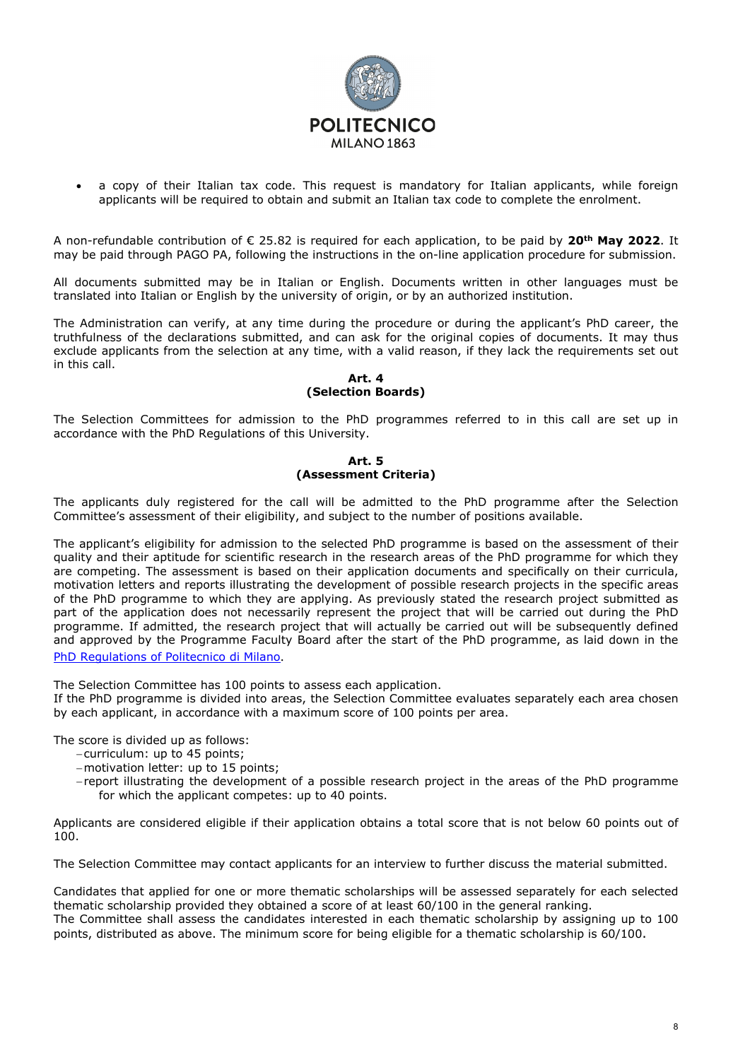

a copy of their Italian tax code. This request is mandatory for Italian applicants, while foreign applicants will be required to obtain and submit an Italian tax code to complete the enrolment.

A non-refundable contribution of € 25.82 is required for each application, to be paid by **20th May 2022**. It may be paid through PAGO PA, following the instructions in the on-line application procedure for submission.

All documents submitted may be in Italian or English. Documents written in other languages must be translated into Italian or English by the university of origin, or by an authorized institution.

The Administration can verify, at any time during the procedure or during the applicant's PhD career, the truthfulness of the declarations submitted, and can ask for the original copies of documents. It may thus exclude applicants from the selection at any time, with a valid reason, if they lack the requirements set out in this call.

### **Art. 4 (Selection Boards)**

The Selection Committees for admission to the PhD programmes referred to in this call are set up in accordance with the PhD Regulations of this University.

### **Art. 5 (Assessment Criteria)**

The applicants duly registered for the call will be admitted to the PhD programme after the Selection Committee's assessment of their eligibility, and subject to the number of positions available.

The applicant's eligibility for admission to the selected PhD programme is based on the assessment of their quality and their aptitude for scientific research in the research areas of the PhD programme for which they are competing. The assessment is based on their application documents and specifically on their curricula, motivation letters and reports illustrating the development of possible research projects in the specific areas of the PhD programme to which they are applying. As previously stated the research project submitted as part of the application does not necessarily represent the project that will be carried out during the PhD programme. If admitted, the research project that will actually be carried out will be subsequently defined and approved by the Programme Faculty Board after the start of the PhD programme, as laid down in the [PhD Regulations of Politecnico di Milano](https://www.dottorato.polimi.it/fileadmin/user_upload/Regolamenti/Phd_Regulations_ENG.pdf).

The Selection Committee has 100 points to assess each application.

If the PhD programme is divided into areas, the Selection Committee evaluates separately each area chosen by each applicant, in accordance with a maximum score of 100 points per area.

The score is divided up as follows:

- −curriculum: up to 45 points;
- −motivation letter: up to 15 points;
- −report illustrating the development of a possible research project in the areas of the PhD programme for which the applicant competes: up to 40 points.

Applicants are considered eligible if their application obtains a total score that is not below 60 points out of 100.

The Selection Committee may contact applicants for an interview to further discuss the material submitted.

Candidates that applied for one or more thematic scholarships will be assessed separately for each selected thematic scholarship provided they obtained a score of at least 60/100 in the general ranking.

The Committee shall assess the candidates interested in each thematic scholarship by assigning up to 100 points, distributed as above. The minimum score for being eligible for a thematic scholarship is 60/100.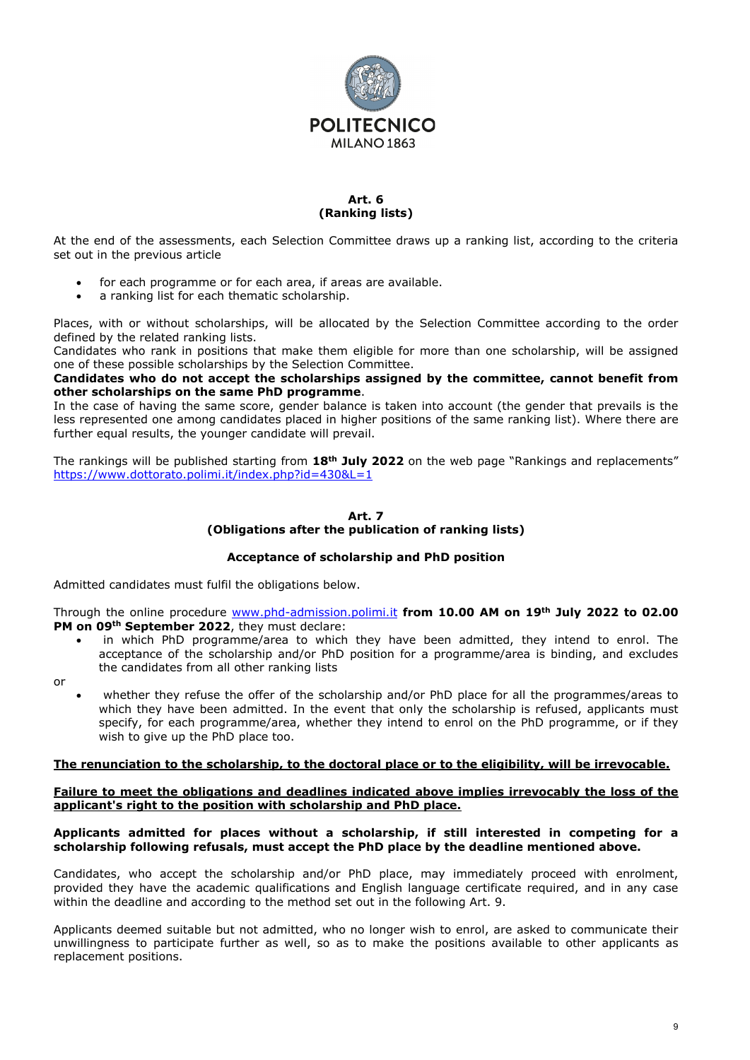

#### **Art. 6 (Ranking lists)**

At the end of the assessments, each Selection Committee draws up a ranking list, according to the criteria set out in the previous article

- for each programme or for each area, if areas are available.
- a ranking list for each thematic scholarship.

Places, with or without scholarships, will be allocated by the Selection Committee according to the order defined by the related ranking lists.

Candidates who rank in positions that make them eligible for more than one scholarship, will be assigned one of these possible scholarships by the Selection Committee.

**Candidates who do not accept the scholarships assigned by the committee, cannot benefit from other scholarships on the same PhD programme**.

In the case of having the same score, gender balance is taken into account (the gender that prevails is the less represented one among candidates placed in higher positions of the same ranking list). Where there are further equal results, the younger candidate will prevail.

The rankings will be published starting from **18th July 2022** on the web page "Rankings and replacements" <https://www.dottorato.polimi.it/index.php?id=430&L=1>

## **Art. 7 (Obligations after the publication of ranking lists)**

### **Acceptance of scholarship and PhD position**

Admitted candidates must fulfil the obligations below.

Through the online procedure [www.phd-admission.polimi.it](http://www.phd-admission.polimi.it/) **from 10.00 AM on 19th July 2022 to 02.00 PM on 09th September 2022**, they must declare:

in which PhD programme/area to which they have been admitted, they intend to enrol. The acceptance of the scholarship and/or PhD position for a programme/area is binding, and excludes the candidates from all other ranking lists

or

• whether they refuse the offer of the scholarship and/or PhD place for all the programmes/areas to which they have been admitted. In the event that only the scholarship is refused, applicants must specify, for each programme/area, whether they intend to enrol on the PhD programme, or if they wish to give up the PhD place too.

### **The renunciation to the scholarship, to the doctoral place or to the eligibility, will be irrevocable.**

#### **Failure to meet the obligations and deadlines indicated above implies irrevocably the loss of the applicant's right to the position with scholarship and PhD place.**

#### **Applicants admitted for places without a scholarship, if still interested in competing for a scholarship following refusals, must accept the PhD place by the deadline mentioned above.**

Candidates, who accept the scholarship and/or PhD place, may immediately proceed with enrolment, provided they have the academic qualifications and English language certificate required, and in any case within the deadline and according to the method set out in the following Art. 9.

Applicants deemed suitable but not admitted, who no longer wish to enrol, are asked to communicate their unwillingness to participate further as well, so as to make the positions available to other applicants as replacement positions.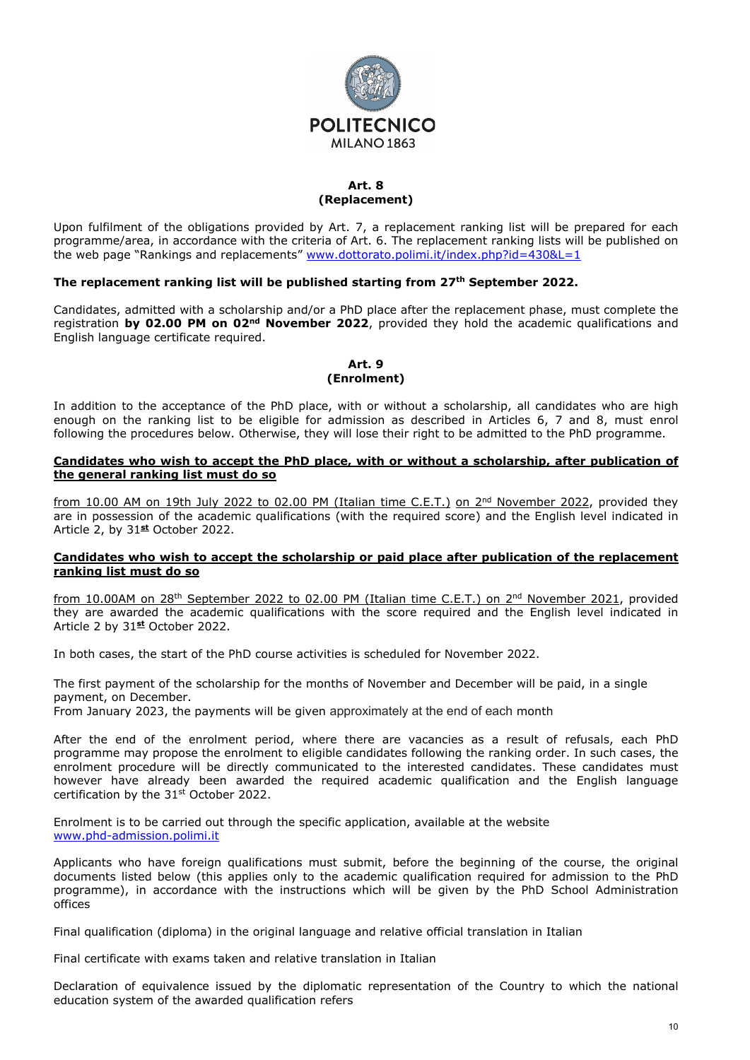

# **Art. 8 (Replacement)**

Upon fulfilment of the obligations provided by Art. 7, a replacement ranking list will be prepared for each programme/area, in accordance with the criteria of Art. 6. The replacement ranking lists will be published on the web page "Rankings and replacements" [www.dottorato.polimi.it/index.php?id=430&L=1](http://www.dottorato.polimi.it/index.php?id=430&L=1)

## **The replacement ranking list will be published starting from 27th September 2022.**

Candidates, admitted with a scholarship and/or a PhD place after the replacement phase, must complete the registration **by 02.00 PM on 02nd November 2022**, provided they hold the academic qualifications and English language certificate required.

#### **Art. 9 (Enrolment)**

In addition to the acceptance of the PhD place, with or without a scholarship, all candidates who are high enough on the ranking list to be eligible for admission as described in Articles 6, 7 and 8, must enrol following the procedures below. Otherwise, they will lose their right to be admitted to the PhD programme.

### **Candidates who wish to accept the PhD place, with or without a scholarship, after publication of the general ranking list must do so**

from 10.00 AM on 19th July 2022 to 02.00 PM (Italian time C.E.T.) on 2<sup>nd</sup> November 2022, provided they are in possession of the academic qualifications (with the required score) and the English level indicated in Article 2, by 31**st** October 2022.

### **Candidates who wish to accept the scholarship or paid place after publication of the replacement ranking list must do so**

from 10.00AM on 28<sup>th</sup> September 2022 to 02.00 PM (Italian time C.E.T.) on 2<sup>nd</sup> November 2021, provided they are awarded the academic qualifications with the score required and the English level indicated in Article 2 by 31**st** October 2022.

In both cases, the start of the PhD course activities is scheduled for November 2022.

The first payment of the scholarship for the months of November and December will be paid, in a single payment, on December.

From January 2023, the payments will be given approximately at the end of each month

After the end of the enrolment period, where there are vacancies as a result of refusals, each PhD programme may propose the enrolment to eligible candidates following the ranking order. In such cases, the enrolment procedure will be directly communicated to the interested candidates. These candidates must however have already been awarded the required academic qualification and the English language certification by the 31st October 2022.

Enrolment is to be carried out through the specific application, available at the website [www.phd-admission.polimi.it](http://www.phd-admission.polimi.it/)

Applicants who have foreign qualifications must submit, before the beginning of the course, the original documents listed below (this applies only to the academic qualification required for admission to the PhD programme), in accordance with the instructions which will be given by the PhD School Administration offices

Final qualification (diploma) in the original language and relative official translation in Italian

Final certificate with exams taken and relative translation in Italian

Declaration of equivalence issued by the diplomatic representation of the Country to which the national education system of the awarded qualification refers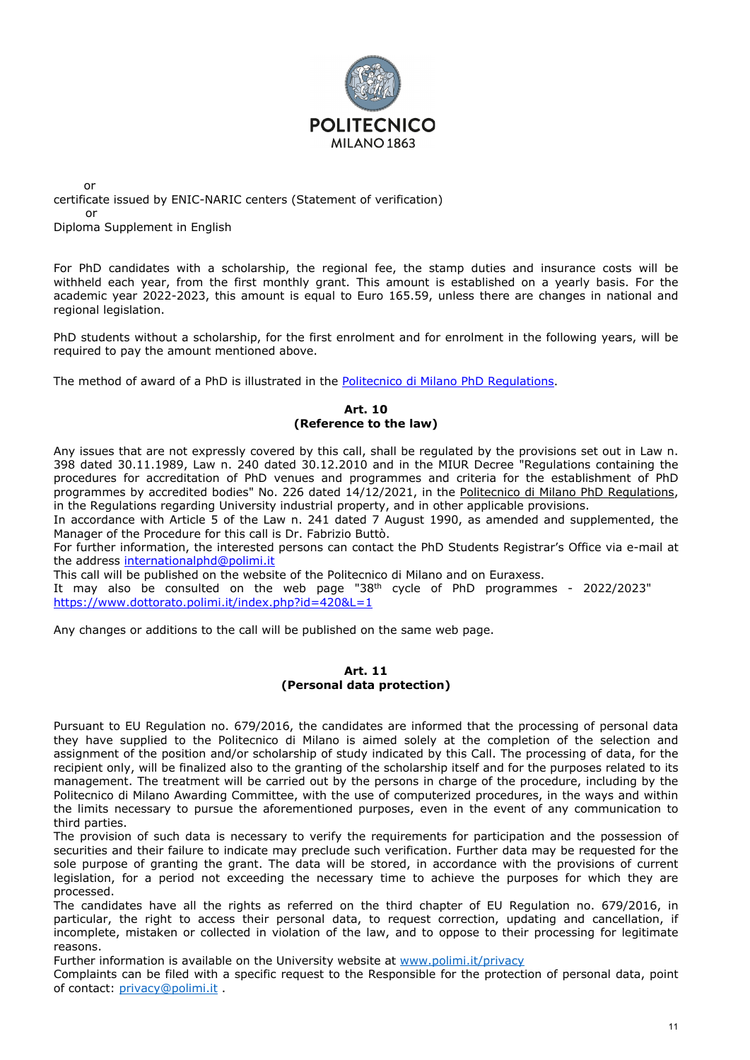

or certificate issued by ENIC-NARIC centers (Statement of verification) or

Diploma Supplement in English

For PhD candidates with a scholarship, the regional fee, the stamp duties and insurance costs will be withheld each year, from the first monthly grant. This amount is established on a yearly basis. For the academic year 2022-2023, this amount is equal to Euro 165.59, unless there are changes in national and regional legislation.

PhD students without a scholarship, for the first enrolment and for enrolment in the following years, will be required to pay the amount mentioned above.

The method of award of a PhD is illustrated in the [Politecnico di Milano PhD Regulations](https://www.dottorato.polimi.it/fileadmin/user_upload/Regolamenti/Phd_Regulations_ENG.pdf).

### **Art. 10 (Reference to the law)**

Any issues that are not expressly covered by this call, shall be regulated by the provisions set out in Law n. 398 dated 30.11.1989, Law n. 240 dated 30.12.2010 and in the MIUR Decree "Regulations containing the procedures for accreditation of PhD venues and programmes and criteria for the establishment of PhD programmes by accredited bodies" No. 226 dated 14/12/2021, in the [Politecnico di Milano PhD Regulations,](http://www.dottorato.polimi.it/fileadmin/files/dottorato/normativa/Regolamento_Dottorato_di_ricerca_2015.pdf) in the Regulations regarding University industrial property, and in other applicable provisions.

In accordance with Article 5 of the Law n. 241 dated 7 August 1990, as amended and supplemented, the Manager of the Procedure for this call is Dr. Fabrizio Buttò.

For further information, the interested persons can contact the PhD Students Registrar's Office via e-mail at the address [internationalphd@polimi.it](mailto:internationalphd@polimi.it)

This call will be published on the website of the Politecnico di Milano and on Euraxess.

It may also be consulted on the web page "38<sup>th</sup> cycle of PhD programmes - 2022/2023" <https://www.dottorato.polimi.it/index.php?id=420&L=1>

Any changes or additions to the call will be published on the same web page.

#### **Art. 11 (Personal data protection)**

Pursuant to EU Regulation no. 679/2016, the candidates are informed that the processing of personal data they have supplied to the Politecnico di Milano is aimed solely at the completion of the selection and assignment of the position and/or scholarship of study indicated by this Call. The processing of data, for the recipient only, will be finalized also to the granting of the scholarship itself and for the purposes related to its management. The treatment will be carried out by the persons in charge of the procedure, including by the Politecnico di Milano Awarding Committee, with the use of computerized procedures, in the ways and within the limits necessary to pursue the aforementioned purposes, even in the event of any communication to third parties.

The provision of such data is necessary to verify the requirements for participation and the possession of securities and their failure to indicate may preclude such verification. Further data may be requested for the sole purpose of granting the grant. The data will be stored, in accordance with the provisions of current legislation, for a period not exceeding the necessary time to achieve the purposes for which they are processed.

The candidates have all the rights as referred on the third chapter of EU Regulation no. 679/2016, in particular, the right to access their personal data, to request correction, updating and cancellation, if incomplete, mistaken or collected in violation of the law, and to oppose to their processing for legitimate reasons.

Further information is available on the University website at [www.polimi.it/privacy](http://www.polimi.it/privacy)

Complaints can be filed with a specific request to the Responsible for the protection of personal data, point of contact: [privacy@polimi.it](mailto:privacy@polimi.it) .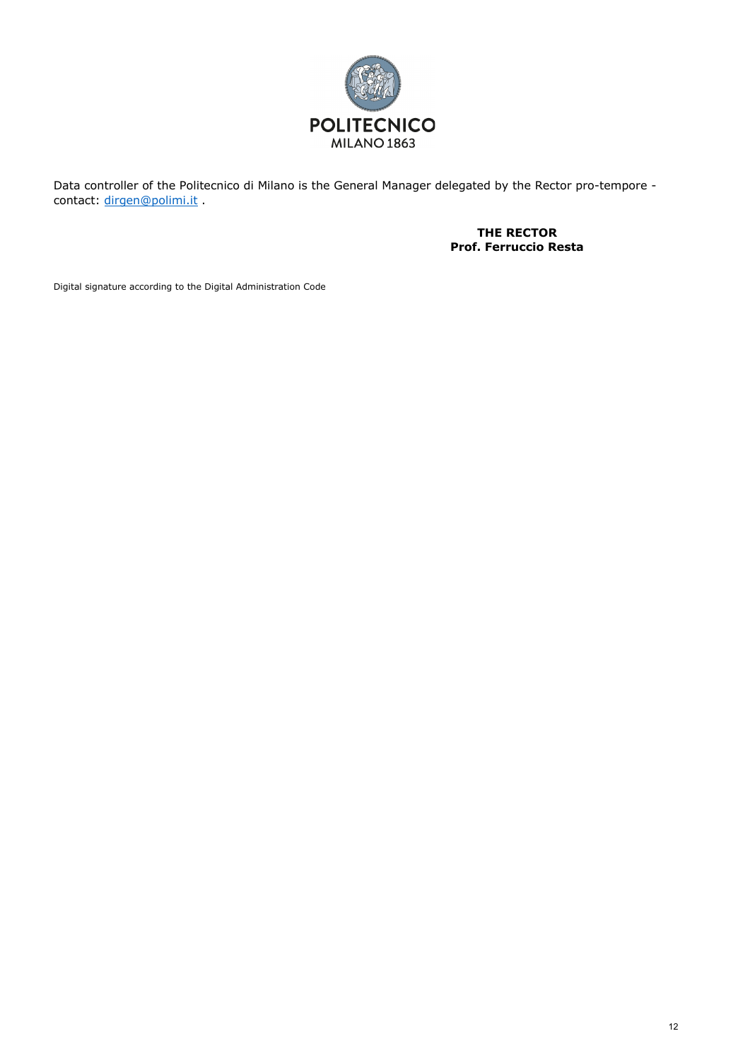

Data controller of the Politecnico di Milano is the General Manager delegated by the Rector pro-tempore contact: [dirgen@polimi.it](mailto:dirgen@polimi.it) .

> **THE RECTOR Prof. Ferruccio Resta**

Digital signature according to the Digital Administration Code